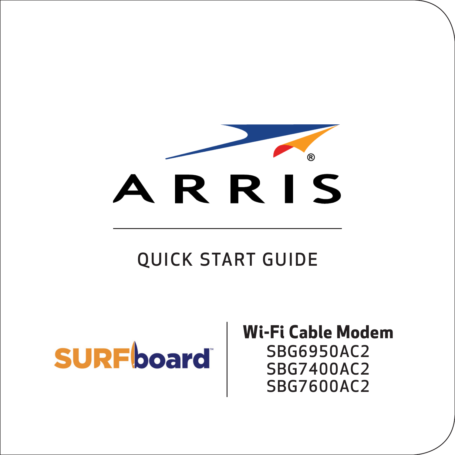

### QUICK START GUIDE

## **SURFboard**

**Wi-Fi Cable Modem** SBG6950AC2 SBG7400AC2 SBG7600AC2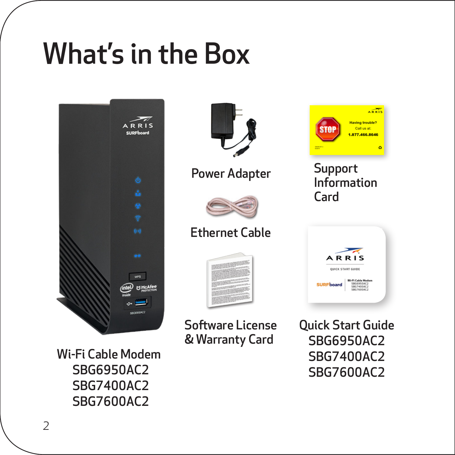## What's in the Box



Wi-Fi Cable Modem SBG6950AC2 SBG7400AC2 SBG7600AC2



Power Adapter



#### Ethernet Cable



Software License & Warranty Card



Support Information Card



Quick Start Guide SBG6950AC2 SBG7400AC2 SBG7600AC2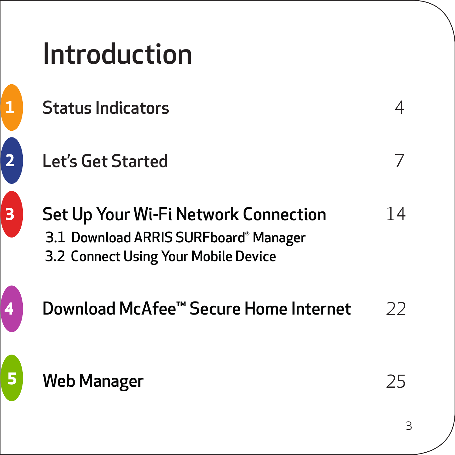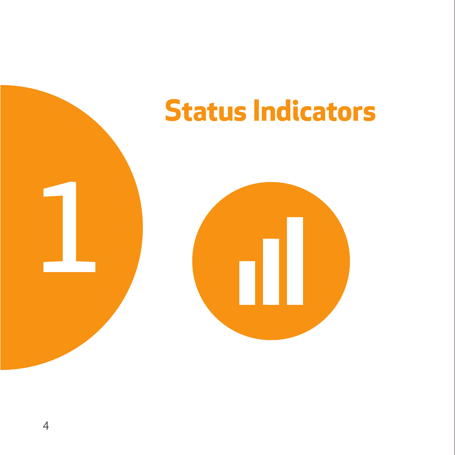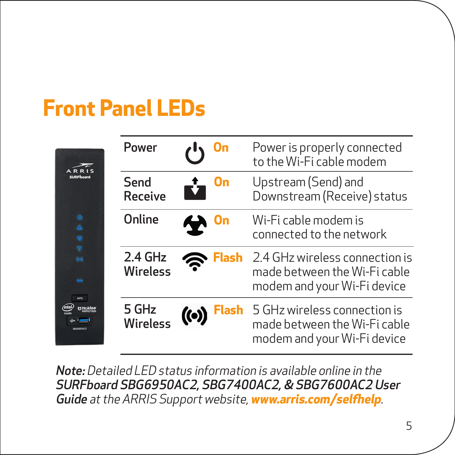### **Front Panel LEDs**

|                | Power                      |   |      | Power is properly connected<br>to the Wi-Fi cable modem                                       |
|----------------|----------------------------|---|------|-----------------------------------------------------------------------------------------------|
|                | Send<br>Receive            |   | On   | Upstream (Send) and<br>Downstream (Receive) status                                            |
| $\ddot{\circ}$ | Online                     | ₩ |      | Wi-Fi cable modem is<br>connected to the network                                              |
| 64<br>œ        | 2.4 GHz<br><b>Wireless</b> |   | lash | 2.4 GHz wireless connection is<br>made between the Wi-Fi cable<br>modem and your Wi-Fi device |
|                | 5 GHz<br>Wireless          |   |      | 5 GHz wireless connection is<br>made between the Wi-Fi cable<br>modem and your Wi-Fi device   |

Note: Detailed LED status information is available online in the SURFboard SBG6950AC2, SBG7400AC2, & SBG7600AC2 User Guide at the ARRIS Support website, **[www.arris.com/selfhelp](http://www.arris.com/selfhelp)**.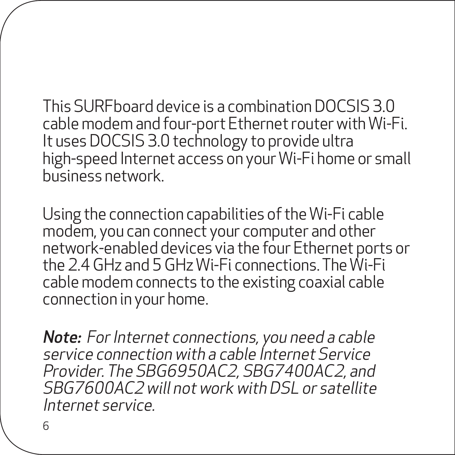This SURFboard device is a combination DOCSIS 3.0 cable modem and four-port Ethernet router with Wi-Fi. It uses DOCSIS 3.0 technology to provide ultra high-speed Internet access on your Wi-Fi home or small business network.

Using the connection capabilities of the Wi-Fi cable modem, you can connect your computer and other network-enabled devices via the four Ethernet ports or the 2.4 GHz and 5 GHz Wi-Fi connections. The Wi-Fi cable modem connects to the existing coaxial cable connection in your home.

**Note:** For Internet connections, you need a cable service connection with a cable Internet Service Provider. The SBG6950AC2, SBG7400AC2, and SBG7600AC2 will not work with DSL or satellite Internet service.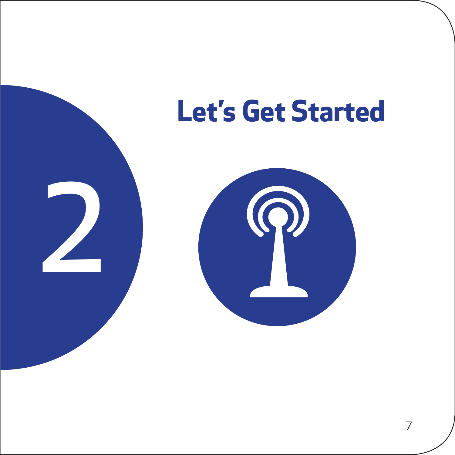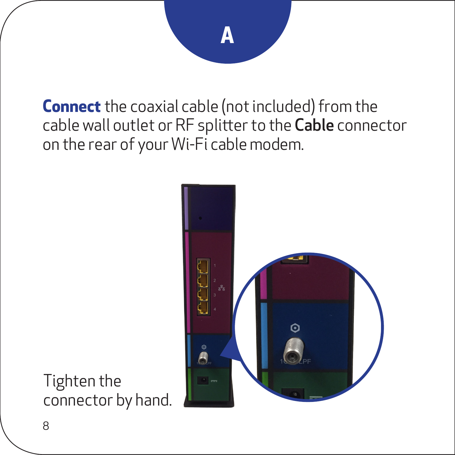**Connect** the coaxial cable (not included) from the cable wall outlet or RF splitter to the Cable connector on the rear of your Wi-Fi cable modem.



Tighten the connector by hand.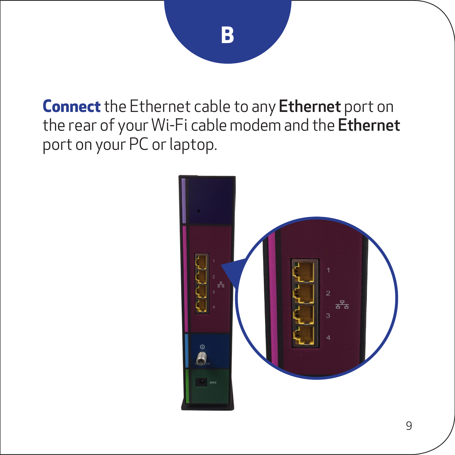## **B**

**Connect** the Ethernet cable to any Ethernet port on the rear of your Wi-Fi cable modem and the Ethernet port on your PC or laptop.

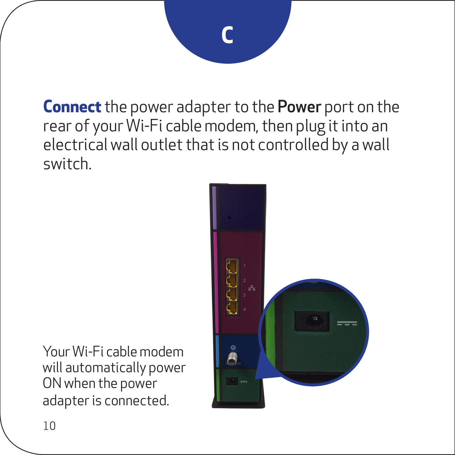# **C**

**Connect** the power adapter to the Power port on the rear of your Wi-Fi cable modem, then plug it into an electrical wall outlet that is not controlled by a wall switch.



Your Wi-Fi cable modem will automatically power ON when the power adapter is connected.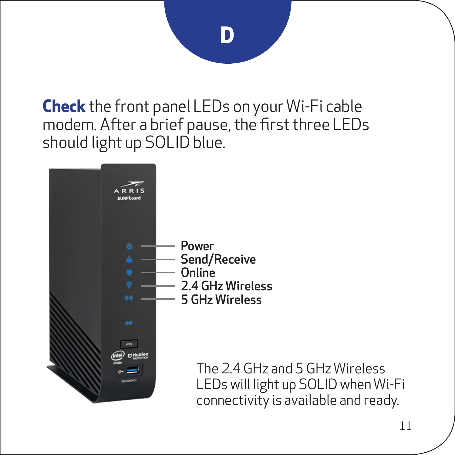## **D**

**Check** the front panel LEDs on your Wi-Fi cable modem. After a brief pause, the first three LEDs should light up SOLID blue.



The 2.4 GHz and 5 GHz Wireless LEDs will light up SOLID when Wi-Fi connectivity is available and ready.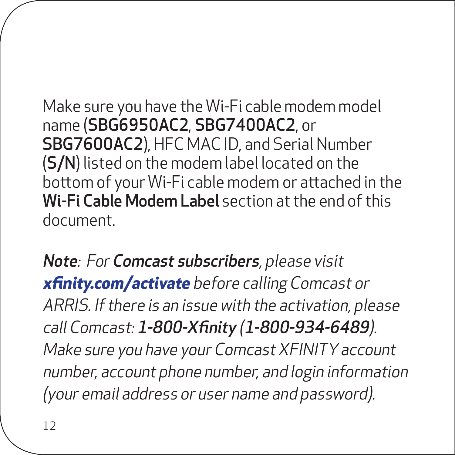Make sure you have the Wi-Fi cable modem model name (SBG6950AC2, SBG7400AC2, or SBG7600AC2), HFC MAC ID, and Serial Number (S/N) listed on the modem label located on the bottom of your Wi-Fi cable modem or attached in the Wi-Fi Cable Modem Label section at the end of this document.

Note: For Comcast subscribers, please visit **[xfinity.com/activate](https://xfinity.com/activate)** before calling Comcast or ARRIS. If there is an issue with the activation, please call Comcast: 1-800-Xfinity (1-800-934-6489). Make sure you have your Comcast XFINITY account number, account phone number, and login information (your email address or user name and password).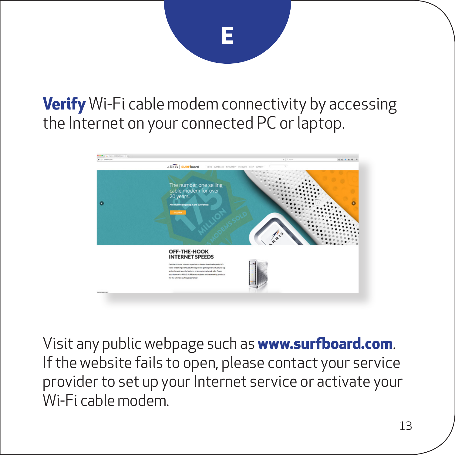# **E**

#### **Verify** Wi-Fi cable modem connectivity by accessing the Internet on your connected PC or laptop.



Visit any public webpage such as **www.surfboard.com**. If the website fails to open, please contact your service provider to set up your Internet service or activate your Wi-Fi cable modem.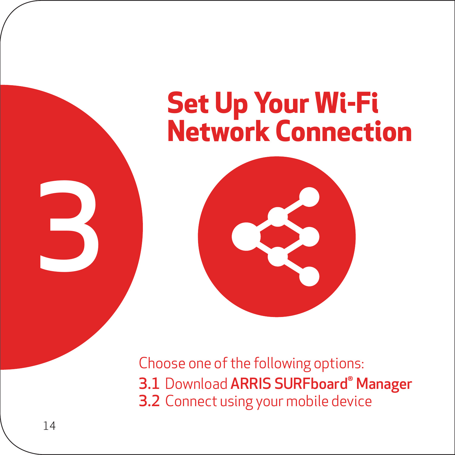## **Set Up Your Wi-Fi Network Connection**



Choose one of the following options: 3.1 Download ARRIS SURFboard® Manager 3.2 Connect using your mobile device

3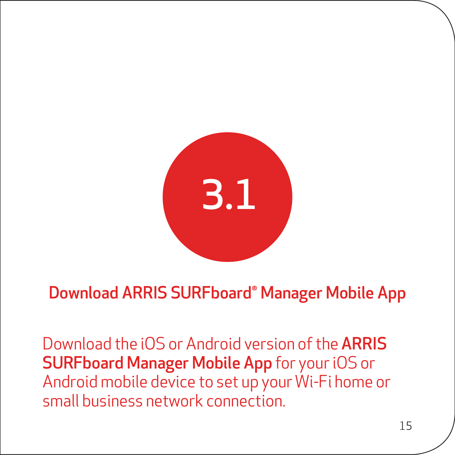

#### Download ARRIS SURFboard® Manager Mobile App

Download the iOS or Android version of the ARRIS SURFboard Manager Mobile App for your iOS or Android mobile device to set up your Wi-Fi home or small business network connection.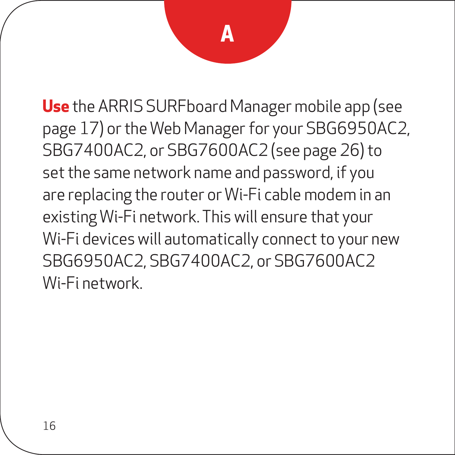**Use** the ARRIS SURFboard Manager mobile app (see page 17) or the Web Manager for your SBG6950AC2, SBG7400AC2, or SBG7600AC2 (see page 26) to set the same network name and password, if you are replacing the router or Wi-Fi cable modem in an existing Wi-Fi network. This will ensure that your Wi-Fi devices will automatically connect to your new SBG6950AC2, SBG7400AC2, or SBG7600AC2 Wi-Fi network.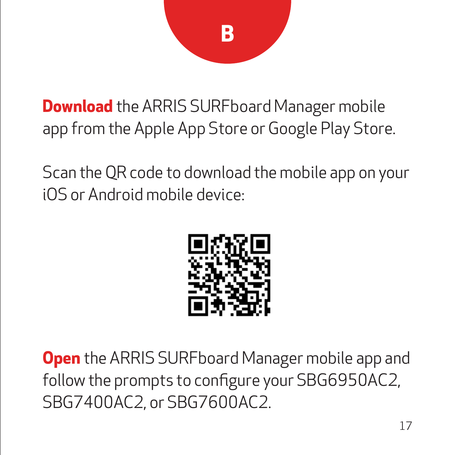

**Download** the ARRIS SURFboard Manager mobile app from the Apple App Store or Google Play Store.

Scan the QR code to download the mobile app on your iOS or Android mobile device:



**Open** the ARRIS SURFboard Manager mobile app and follow the prompts to configure your SBG6950AC2, SBG7400AC2, or SBG7600AC2.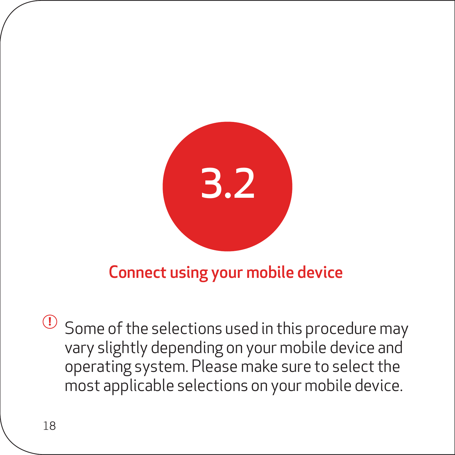

#### Connect using your mobile device

Some of the selections used in this procedure may **!**vary slightly depending on your mobile device and operating system. Please make sure to select the most applicable selections on your mobile device.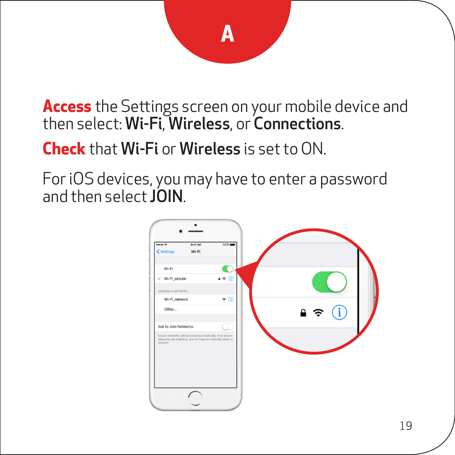**Access** the Settings screen on your mobile device and then select: Wi-Fi, Wireless, or Connections.

**Check** that Wi-Fi or Wireless is set to ON.

ForiOS devices, you may have to enter a password and then select **JOIN**.

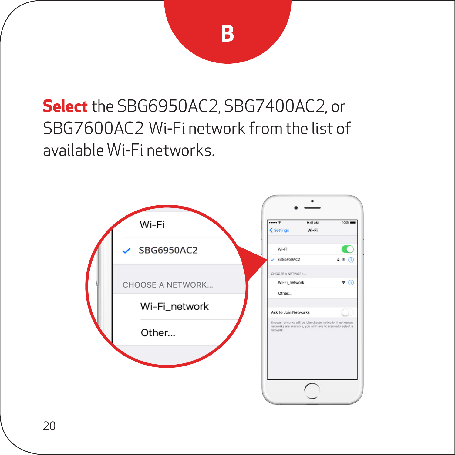### **Select** the SBG6950AC2, SBG7400AC2, or SBG7600AC2 Wi-Fi network from the list of available Wi-Fi networks.

**B**

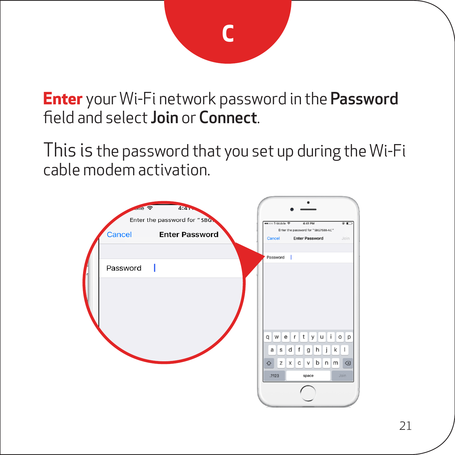

**Enter** your Wi-Fi network password in the Password field and select Join or Connect.

This is the password that you set up during the Wi-Fi cable modem activation.

| иe<br>Cancel | 4:4.7<br>$\Rightarrow$<br>Enter the password for "SBG"<br><b>Enter Password</b> | <b>HOOD TIMAGE 9</b><br>Cancel | 4:41 PM<br>$\overline{r}$<br>Enter the password for "\$867580-AC"<br><b>Enter Password</b><br>Join. |
|--------------|---------------------------------------------------------------------------------|--------------------------------|-----------------------------------------------------------------------------------------------------|
| Password     |                                                                                 | Password                       |                                                                                                     |
|              |                                                                                 | $\Diamond$<br>.2123            | qwertyuiop<br>asdfghjkl<br>z x c v b n m<br>$\circ$<br>Join<br>space                                |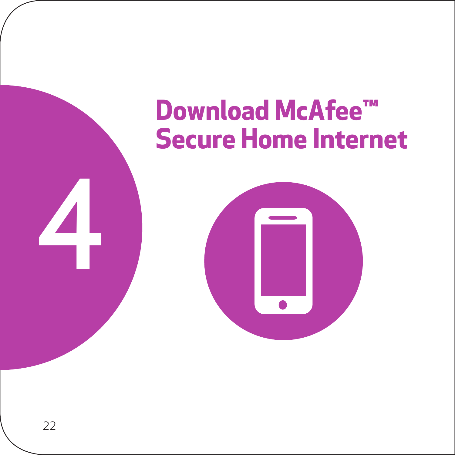### **Download McAfee™ Secure Home Internet**



4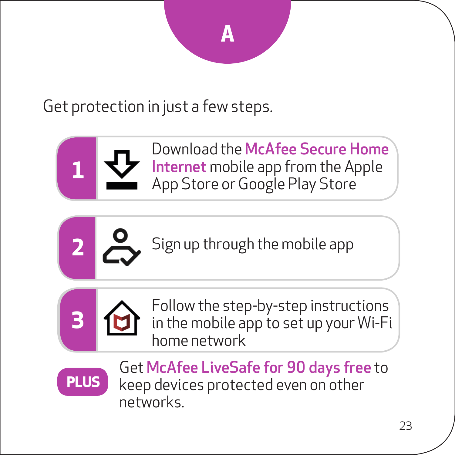Get protection in just a few steps.









**3**

Get McAfee LiveSafe for 90 days free to keep devices protected even on other networks.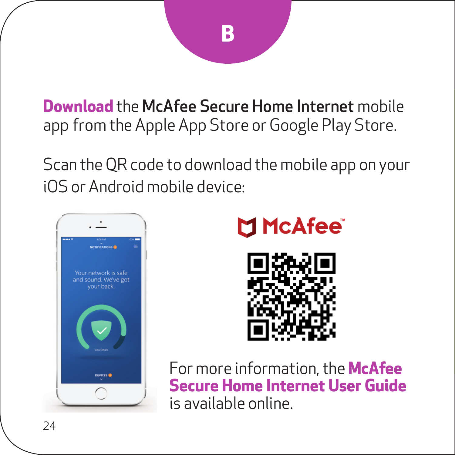**Download** the McAfee Secure Home Internet mobile app from the Apple App Store or Google Play Store.

Scan the QR code to download the mobile app on your iOS or Android mobile device:







For more information, the **[McAfee](https://arris.my.salesforce.com/sfc/p/#30000000kUAL/a/a00000005VXa/4fOeqO0rNy5Xvg2JMPDFyz38EeyaioNHDXvsfqxoX9k)  [Secure Home Internet User Guide](https://arris.my.salesforce.com/sfc/p/#30000000kUAL/a/a00000005VXa/4fOeqO0rNy5Xvg2JMPDFyz38EeyaioNHDXvsfqxoX9k)** is available online.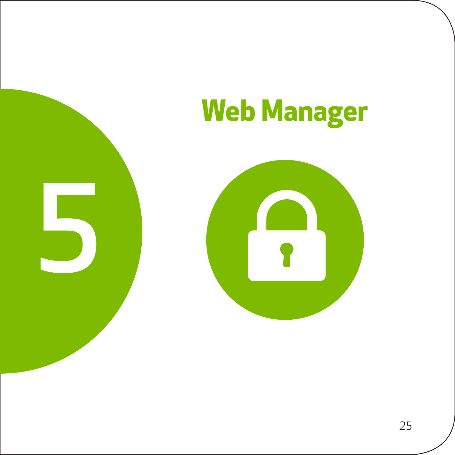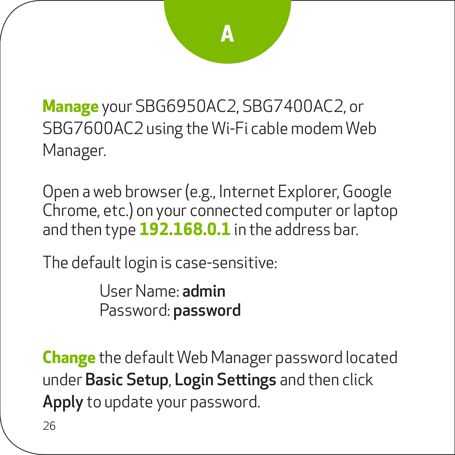**Manage** your SBG6950AC2, SBG7400AC2, or SBG7600AC2 using the Wi-Fi cable modem Web Manager.

Open a web browser (e.g., Internet Explorer, Google Chrome, etc.) on your connected computer or laptop and then type **192.168.0.1** in the address bar.

The default login is case-sensitive:

User Name: admin Password: password

**Change** the default Web Manager password located under Basic Setup, Login Settings and then click Apply to update your password.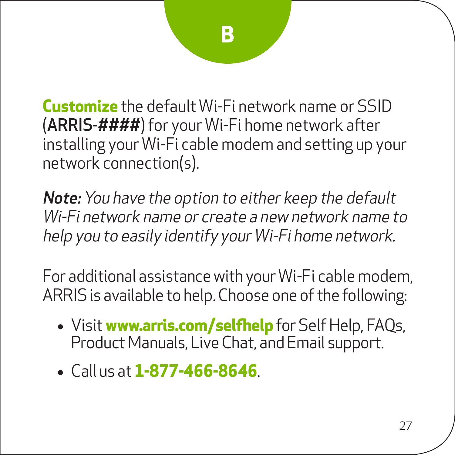**Customize** the default Wi-Fi network name or SSID (ARRIS-####) for your Wi-Fi home network after installing your Wi-Fi cable modem and setting up your network connection(s).

Note: You have the option to either keep the default Wi-Fi network name or create a new network name to help you to easily identify your Wi-Fi home network.

For additional assistance with your Wi-Fi cable modem, ARRIS is available to help. Choose one of the following:

- • Visit **www.arris.com/selfhelp** for Self Help, FAQs, Product Manuals, Live Chat, and Email support.
- • Call us at **1-877-466-8646**.